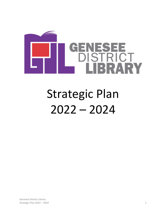

# Strategic Plan 2022 – 2024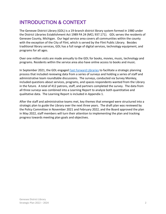# INTRODUCTION & CONTEXT

The Genesee District Library (GDL) is a 19-branch district library system formed in 1980 under the District Libraries Establishment Act 1989 PA 24 (MCL 937.171). GDL serves the residents of Genesee County, Michigan. Our legal service area covers all communities within the county with the exception of the City of Flint, which is served by the Flint Public Library. Besides traditional library services, GDL has a full range of digital services, technology equipment, and programs for all ages.

Over one million visits are made annually to the GDL for books, movies, music, technology and programs. Residents within the service area also have online access to books and music.

In September 2021, the GDL engaged [Fast Forward Libraries](https://fastforwardlibraries.com/) to facilitate a strategic planning process that included reviewing data from a series of surveys and holding a series of staff and administrative team roundtable discussions. The surveys, conducted via Survey Monkey, included questions about services, programs, and spaces respondents wanted from the Library in the future. A total of 412 patrons, staff, and partners completed the survey. The data from all three surveys was combined into a Learning Report to analyze both quantitative and qualitative data. The Learning Report is included in Appendix 1.

After the staff and administrative teams met, key themes that emerged were structured into a strategic plan to guide the Library over the next three years. The draft plan was reviewed by the Policy Committee in November 2021 and February 2022, and the Board approved the plan in May 2022, staff members will turn their attention to implementing the plan and tracking progress towards meeting plan goals and objectives.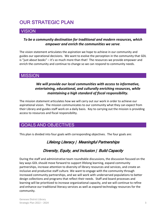## OUR STRATEGIC PLAN

## **VISION**

#### *To be a community destination for traditional and modern resources, which empower and enrich the communities we serve*.

The vision statement articulates the aspiration we hope to achieve in our community and guides our operational decisions. We want to evolve the perception in the community that GDL is "just about books" – it's so much more than that! The resources we provide empower and enrich the community and continue to change so we can respond to community needs.

## **MISSION**

#### *We will provide our local communities with access to informative, entertaining, educational, and culturally enriching resources, while maintaining a high standard of fiscal responsibility.*

The mission statement articulates how we will carry out our work in order to achieve our aspirational vision. The mission communicates to our community what they can expect from their Library and guides staff work on a daily basis. Key to carrying out the mission is providing access to resources and fiscal responsibility.

## GOALS AND OBJECTIVES

This plan is divided into four goals with corresponding objectives. The four goals are:

## Lifelong Literacy | Meaningful Partnerships

## Diversity, Equity, and Inclusion | Build Capacity

During the staff and administrative team roundtable discussions, the discussion focused on the key ways GDL should move forward to support lifelong learning, expand community partnerships, increase attention to diversity of library resources and services, and create an inclusive and productive staff culture. We want to engage with the community through increased community partnerships, and we will work with underserved populations to better design collections and programs that reflect their needs. Staff and board processes and learning will be prioritized to increase organizational capacity, and we will continue to refine and enhance our traditional literacy services as well as expand technology resources for the community.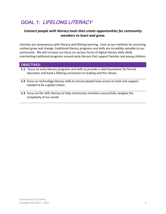# GOAL 1: LIFELONG LITERACY

#### *Connect people with literacy tools that create opportunities for community members to learn and grow.*

Libraries are synonymous with literacy and lifelong learning. Even as our methods for accessing content grow and change, traditional literacy programs and skills are incredibly valuable to our community. We will increase our focus on various forms of digital literacy skills while maintaining traditional programs around early literacy that support families and young children.

#### **OBJECTIVES:**

- **1.1** Focus on early literacy programs and skills to provide a solid foundation for formal education and build a lifelong connection to reading and the Library. **1**
- **1.2** Focus on technology literacy skills to ensure people have access to tools and support needed to be a global citizen.
- **1.3** Focus on life skills literacy to help community members successfully navigate the complexity of our world.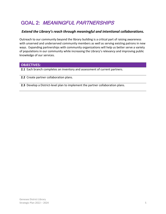# GOAL 2: MEANINGFUL PARTNERSHIPS

#### *Extend the Library's reach through meaningful and intentional collaborations.*

Outreach to our community beyond the library building is a critical part of raising awareness with unserved and underserved community members as well as serving existing patrons in new ways. Expanding partnerships with community organizations will help us better serve a variety of populations in our community while increasing the Library's relevancy and improving public knowledge of our services.

#### **OBJECTIVES:**

**2.1** Each branch completes an inventory and assessment of current partners.

**2.2** Create partner collaboration plans.

**2.3** Develop a District-level plan to implement the partner collaboration plans.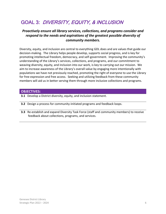# GOAL 3: DIVERSITY, EQUITY, & INCLUSION

#### *Proactively ensure all library services, collections, and programs consider and respond to the needs and aspirations of the greatest possible diversity of community members.*

Diversity, equity, and inclusion are central to everything GDL does and are values that guide our decision-making. The Library helps people develop, supports social progress, and is key for promoting intellectual freedom, democracy, and self-government. Improving the community's understanding of the Library's services, collections, and programs, and our commitment to weaving diversity, equity, and inclusion into our work, is key to carrying out our mission. We aim to increase awareness of the Library's overall value by engaging more intentionally with populations we have not previously reached, promoting the right of everyone to use the Library for free expression and free access. Seeking and utilizing feedback from these community members will aid us in better serving them through more inclusive collections and programs.

#### **OBJECTIVES:**

- **3.1** Develop a District diversity, equity, and inclusion statement.
- **3.2** Design a process for community-initiated programs and feedback loops.
- **3.3** Re-establish and expand Diversity Task Force (staff and community members) to receive feedback about collections, programs, and services.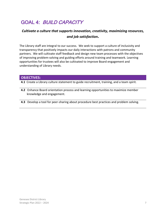# GOAL 4: BUILD CAPACITY

## *Cultivate a culture that supports innovation, creativity, maximizing resources, and job satisfaction.*

The Library staff are integral to our success. We seek to support a culture of inclusivity and transparency that positively impacts our daily interactions with patrons and community partners. We will cultivate staff feedback and design new team processes with the objectives of improving problem-solving and guiding efforts around training and teamwork. Learning opportunities for trustees will also be cultivated to improve Board engagement and understanding of Library needs.

#### **OBJECTIVES:**

**4.1** Create a Library culture statement to guide recruitment, training, and a team spirit.

- **4.2** Enhance Board orientation process and learning opportunities to maximize member knowledge and engagement.
- **4.3** Develop a tool for peer-sharing about procedure best practices and problem solving.